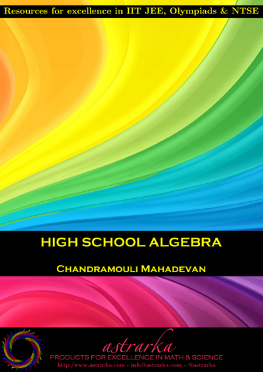### Resources for excellence in IIT JEE, Olympiads & NTSE

## **HIGH SCHOOL ALGEBRA**

#### **CHANDRAMOULI MAHADEVAN**

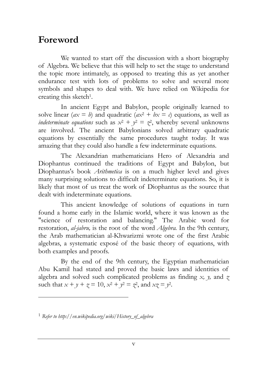#### **Foreword**

We wanted to start off the discussion with a short biography of Algebra. We believe that this will help to set the stage to understand the topic more intimately, as opposed to treating this as yet another endurance test with lots of problems to solve and several more symbols and shapes to deal with. We have relied on Wikipedia for creating this sketch<sup>1</sup>.

In ancient Egypt and Babylon, people originally learned to solve linear ( $ax = b$ ) and quadratic ( $ax^2 + bx = c$ ) equations, as well as *indeterminate equations* such as  $x^2 + y^2 = z^2$ , whereby several unknowns are involved. The ancient Babylonians solved arbitrary quadratic equations by essentially the same procedures taught today. It was amazing that they could also handle a few indeterminate equations.

The Alexandrian mathematicians Hero of Alexandria and Diophantus continued the traditions of Egypt and Babylon, but Diophantus's book *Arithmetica* is on a much higher level and gives many surprising solutions to difficult indeterminate equations. So, it is likely that most of us treat the work of Diophantus as the source that dealt with indeterminate equations.

This ancient knowledge of solutions of equations in turn found a home early in the Islamic world, where it was known as the "science of restoration and balancing." The Arabic word for restoration, *al-jabru,* is the root of the word *Algebra.* In the 9th century, the Arab mathematician al-Khwarizmi wrote one of the first Arabic algebras, a systematic exposé of the basic theory of equations, with both examples and proofs.

By the end of the 9th century, the Egyptian mathematician Abu Kamil had stated and proved the basic laws and identities of algebra and solved such complicated problems as finding *x, y,* and *z* such that  $x + y + z = 10$ ,  $x^2 + y^2 = z^2$ , and  $xz = y^2$ .

 $\overline{a}$ 

<sup>1</sup> *Refer to http://en.wikipedia.org/wiki/History\_of\_algebra*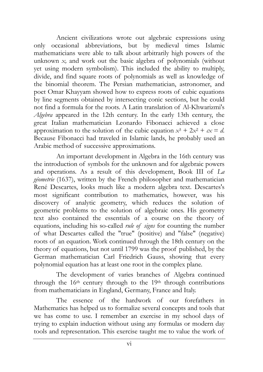Ancient civilizations wrote out algebraic expressions using only occasional abbreviations, but by medieval times Islamic mathematicians were able to talk about arbitrarily high powers of the unknown *x,* and work out the basic algebra of polynomials (without yet using modern symbolism). This included the ability to multiply, divide, and find square roots of polynomials as well as knowledge of the binomial theorem. The Persian mathematician, astronomer, and poet Omar Khayyam showed how to express roots of cubic equations by line segments obtained by intersecting conic sections, but he could not find a formula for the roots. A Latin translation of Al-Khwarizmi's *Algebra* appeared in the 12th century. In the early 13th century, the great Italian mathematician Leonardo Fibonacci achieved a close approximation to the solution of the cubic equation  $x^3 + 2x^2 + cx = d$ . Because Fibonacci had traveled in Islamic lands, he probably used an Arabic method of successive approximations.

An important development in Algebra in the 16th century was the introduction of symbols for the unknown and for algebraic powers and operations. As a result of this development, Book III of *La géometrie* (1637), written by the French philosopher and mathematician René Descartes, looks much like a modern algebra text. Descartes's most significant contribution to mathematics, however, was his discovery of analytic geometry, which reduces the solution of geometric problems to the solution of algebraic ones. His geometry text also contained the essentials of a course on the theory of equations, including his so-called *rule of signs* for counting the number of what Descartes called the "true" (positive) and "false" (negative) roots of an equation. Work continued through the 18th century on the theory of equations, but not until 1799 was the proof published, by the German mathematician Carl Friedrich Gauss, showing that every polynomial equation has at least one root in the complex plane.

The development of varies branches of Algebra continued through the 16<sup>th</sup> century through to the 19<sup>th</sup> through contributions from mathematicians in England, Germany, France and Italy.

The essence of the hardwork of our forefathers in Mathematics has helped us to formalize several concepts and tools that we has come to use. I remember an exercise in my school days of trying to explain induction without using any formulas or modern day tools and representation. This exercise taught me to value the work of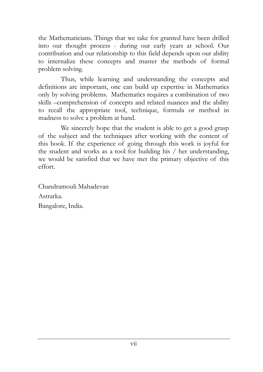the Mathematicians. Things that we take for granted have been drilled into our thought process - during our early years at school. Our contribution and our relationship to this field depends upon our ability to internalize these concepts and master the methods of formal problem solving.

Thus, while learning and understanding the concepts and definitions are important, one can build up expertise in Mathematics only by solving problems. Mathematics requires a combination of two skills –comprehension of concepts and related nuances and the ability to recall the appropriate tool, technique, formula or method in madness to solve a problem at hand.

We sincerely hope that the student is able to get a good grasp of the subject and the techniques after working with the content of this book. If the experience of going through this work is joyful for the student and works as a tool for building his / her understanding, we would be satisfied that we have met the primary objective of this effort.

Chandramouli Mahadevan Astrarka. Bangalore, India.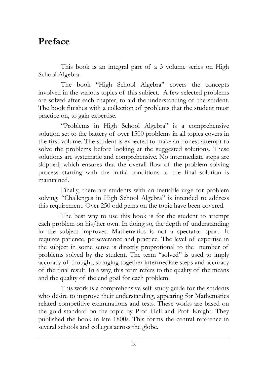#### **Preface**

This book is an integral part of a 3 volume series on High School Algebra.

The book "High School Algebra" covers the concepts involved in the various topics of this subject. A few selected problems are solved after each chapter, to aid the understanding of the student. The book finishes with a collection of problems that the student must practice on, to gain expertise.

"Problems in High School Algebra" is a comprehensive solution set to the battery of over 1500 problems in all topics covers in the first volume. The student is expected to make an honest attempt to solve the problems before looking at the suggested solutions. These solutions are systematic and comprehensive. No intermediate steps are skipped; which ensures that the overall flow of the problem solving process starting with the initial conditions to the final solution is maintained.

Finally, there are students with an instiable urge for problem solving. "Challenges in High School Algebra" is intended to address this requirement. Over 250 odd gems on the topic have been covered.

The best way to use this book is for the student to attempt each problem on his/her own. In doing so, the depth of understanding in the subject improves. Mathematics is not a spectator sport. It requires patience, perseverance and practice. The level of expertise in the subject in some sense is directly proprotional to the number of problems solved by the student. The term "solved" is used to imply accuracy of thought, stringing together intermediate steps and accuracy of the final result. In a way, this term refers to the quality of the means and the quality of the end goal for each problem.

This work is a comprehensive self study guide for the students who desire to improve their understanding, appearing for Mathematics related competitive examinations and tests. These works are based on the gold standard on the topic by Prof Hall and Prof Knight. They published the book in late 1800s. This forms the central reference in several schools and colleges across the globe.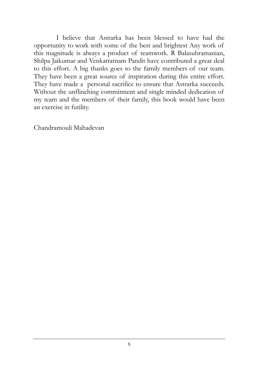I believe that Astrarka has been blessed to have had the opportunity to work with some of the best and brightest Any work of this magnitude is always a product of teamwork. R Balasubramanian, Shilpa Jaikumar and Venkatratnam Pandit have contributed a great deal to this effort. A big thanks goes to the family members of our team. They have been a great source of inspiration during this entire effort. They have made a personal sacrifice to ensure that Astrarka succeeds. Without the unflinching commitment and single minded dedication of my team and the members of their family, this book would have been an exercise in futility.

Chandramouli Mahadevan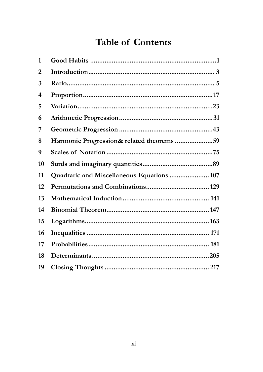#### **Table of Contents**

| 1  |                                            |  |
|----|--------------------------------------------|--|
| 2  |                                            |  |
| 3  |                                            |  |
| 4  |                                            |  |
| 5  |                                            |  |
| 6  |                                            |  |
| 7  |                                            |  |
| 8  | Harmonic Progression& related theorems 59  |  |
| 9  |                                            |  |
| 10 |                                            |  |
| 11 | Quadratic and Miscellaneous Equations  107 |  |
| 12 |                                            |  |
| 13 |                                            |  |
| 14 |                                            |  |
| 15 |                                            |  |
| 16 |                                            |  |
| 17 |                                            |  |
| 18 |                                            |  |
| 19 |                                            |  |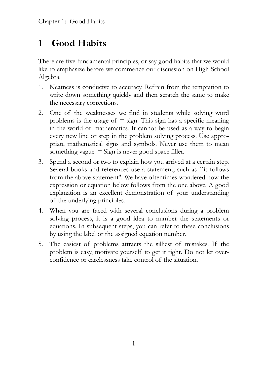#### **1 Good Habits**

There are five fundamental principles, or say good habits that we would like to emphasize before we commence our discussion on High School Algebra.

- 1. Neatness is conducive to accuracy. Refrain from the temptation to write down something quickly and then scratch the same to make the necessary corrections.
- 2. One of the weaknesses we find in students while solving word problems is the usage of  $=$  sign. This sign has a specific meaning in the world of mathematics. It cannot be used as a way to begin every new line or step in the problem solving process. Use appropriate mathematical signs and symbols. Never use them to mean something vague.  $=$  Sign is never good space filler.
- 3. Spend a second or two to explain how you arrived at a certain step. Several books and references use a statement, such as ``it follows from the above statement''. We have oftentimes wondered how the expression or equation below follows from the one above. A good explanation is an excellent demonstration of your understanding of the underlying principles.
- 4. When you are faced with several conclusions during a problem solving process, it is a good idea to number the statements or equations. In subsequent steps, you can refer to these conclusions by using the label or the assigned equation number.
- 5. The easiest of problems attracts the silliest of mistakes. If the problem is easy, motivate yourself to get it right. Do not let overconfidence or carelessness take control of the situation.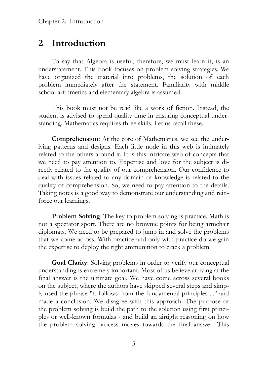#### **2 Introduction**

To say that Algebra is useful, therefore, we must learn it, is an understatement. This book focuses on problem solving strategies. We have organized the material into problems, the solution of each problem immediately after the statement. Familiarity with middle school arithmetics and elementary algebra is assumed.

This book must not be read like a work of fiction. Instead, the student is advised to spend quality time in ensuring conceptual understanding. Mathematics requires three skills. Let us recall these.

**Comprehension**: At the core of Mathematics, we see the underlying patterns and designs. Each little node in this web is intimately related to the others around it. It is this intricate web of concepts that we need to pay attention to. Expertise and love for the subject is directly related to the quality of our comprehension. Our confidence to deal with issues related to any domain of knowledge is related to the quality of comprehension. So, we need to pay attention to the details. Taking notes is a good way to demonstrate our understanding and reinforce our learnings.

**Problem Solving:** The key to problem solving is practice. Math is not a spectator sport. There are no brownie points for being armchair diplomats. We need to be prepared to jump in and solve the problems that we come across. With practice and only with practice do we gain the expertise to deploy the right ammunition to crack a problem.

**Goal Clarity**: Solving problems in order to verify our conceptual understanding is extremely important. Most of us believe arriving at the final answer is the ultimate goal. We have come across several books on the subject, where the authors have skipped several steps and simply used the phrase "it follows from the fundamental principles ..." and made a conclusion. We disagree with this approach. The purpose of the problem solving is build the path to the solution using first principles or well-known formulas - and build an airtight reasoning on how the problem solving process moves towards the final answer. This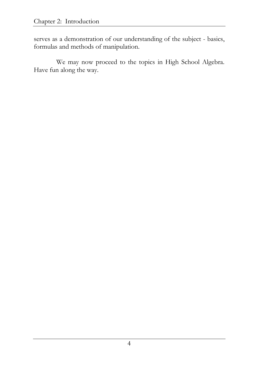serves as a demonstration of our understanding of the subject - basics, formulas and methods of manipulation.

We may now proceed to the topics in High School Algebra. Have fun along the way.